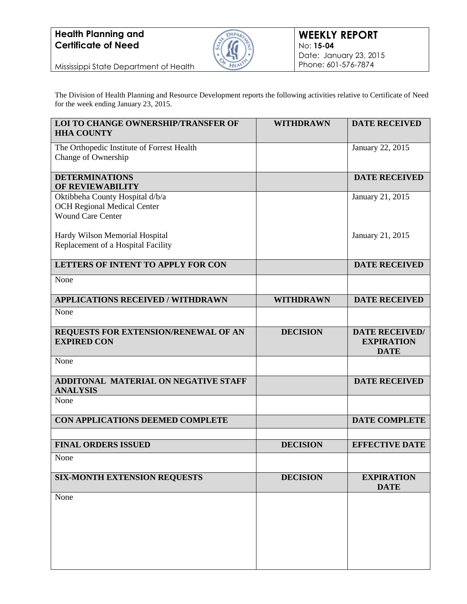

Mississippi State Department of Health

The Division of Health Planning and Resource Development reports the following activities relative to Certificate of Need for the week ending January 23, 2015.

| <b>WITHDRAWN</b> | <b>DATE RECEIVED</b>                                      |
|------------------|-----------------------------------------------------------|
|                  | January 22, 2015                                          |
|                  | <b>DATE RECEIVED</b>                                      |
|                  | January 21, 2015                                          |
|                  | January 21, 2015                                          |
|                  | <b>DATE RECEIVED</b>                                      |
|                  |                                                           |
| <b>WITHDRAWN</b> | <b>DATE RECEIVED</b>                                      |
|                  |                                                           |
| <b>DECISION</b>  | <b>DATE RECEIVED/</b><br><b>EXPIRATION</b><br><b>DATE</b> |
|                  |                                                           |
|                  | <b>DATE RECEIVED</b>                                      |
|                  |                                                           |
|                  | <b>DATE COMPLETE</b>                                      |
| <b>DECISION</b>  | <b>EFFECTIVE DATE</b>                                     |
|                  |                                                           |
| <b>DECISION</b>  | <b>EXPIRATION</b><br><b>DATE</b>                          |
|                  |                                                           |
|                  |                                                           |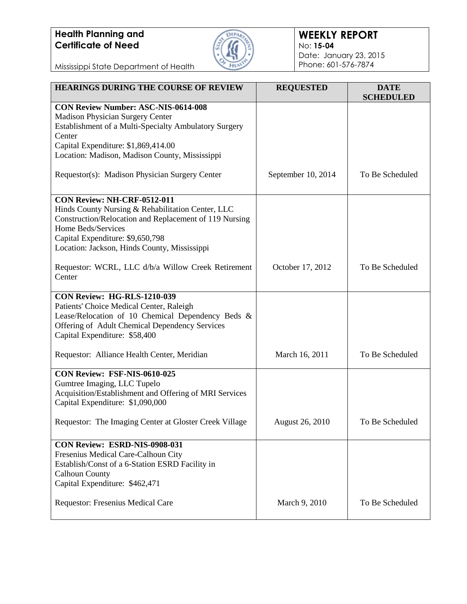

#### **WEEKLY REPORT** No: **15-04** Date: January 23, 2015 Phone: 601-576-7874

| <b>HEARINGS DURING THE COURSE OF REVIEW</b>                                           | <b>REQUESTED</b>       | <b>DATE</b><br><b>SCHEDULED</b> |
|---------------------------------------------------------------------------------------|------------------------|---------------------------------|
| <b>CON Review Number: ASC-NIS-0614-008</b>                                            |                        |                                 |
| Madison Physician Surgery Center                                                      |                        |                                 |
| Establishment of a Multi-Specialty Ambulatory Surgery                                 |                        |                                 |
| Center                                                                                |                        |                                 |
| Capital Expenditure: \$1,869,414.00<br>Location: Madison, Madison County, Mississippi |                        |                                 |
|                                                                                       |                        |                                 |
| Requestor(s): Madison Physician Surgery Center                                        | September 10, 2014     | To Be Scheduled                 |
| CON Review: NH-CRF-0512-011                                                           |                        |                                 |
| Hinds County Nursing & Rehabilitation Center, LLC                                     |                        |                                 |
| Construction/Relocation and Replacement of 119 Nursing                                |                        |                                 |
| Home Beds/Services                                                                    |                        |                                 |
| Capital Expenditure: \$9,650,798                                                      |                        |                                 |
| Location: Jackson, Hinds County, Mississippi                                          |                        |                                 |
| Requestor: WCRL, LLC d/b/a Willow Creek Retirement                                    | October 17, 2012       | To Be Scheduled                 |
| Center                                                                                |                        |                                 |
|                                                                                       |                        |                                 |
| CON Review: HG-RLS-1210-039                                                           |                        |                                 |
| Patients' Choice Medical Center, Raleigh                                              |                        |                                 |
| Lease/Relocation of 10 Chemical Dependency Beds &                                     |                        |                                 |
| Offering of Adult Chemical Dependency Services<br>Capital Expenditure: \$58,400       |                        |                                 |
|                                                                                       |                        |                                 |
| Requestor: Alliance Health Center, Meridian                                           | March 16, 2011         | To Be Scheduled                 |
| CON Review: FSF-NIS-0610-025                                                          |                        |                                 |
| Gumtree Imaging, LLC Tupelo                                                           |                        |                                 |
| Acquisition/Establishment and Offering of MRI Services                                |                        |                                 |
| Capital Expenditure: \$1,090,000                                                      |                        |                                 |
|                                                                                       |                        |                                 |
| Requestor: The Imaging Center at Gloster Creek Village                                | <b>August 26, 2010</b> | To Be Scheduled                 |
| CON Review: ESRD-NIS-0908-031                                                         |                        |                                 |
| Fresenius Medical Care-Calhoun City                                                   |                        |                                 |
| Establish/Const of a 6-Station ESRD Facility in                                       |                        |                                 |
| <b>Calhoun County</b>                                                                 |                        |                                 |
| Capital Expenditure: \$462,471                                                        |                        |                                 |
|                                                                                       |                        |                                 |
| Requestor: Fresenius Medical Care                                                     | March 9, 2010          | To Be Scheduled                 |
|                                                                                       |                        |                                 |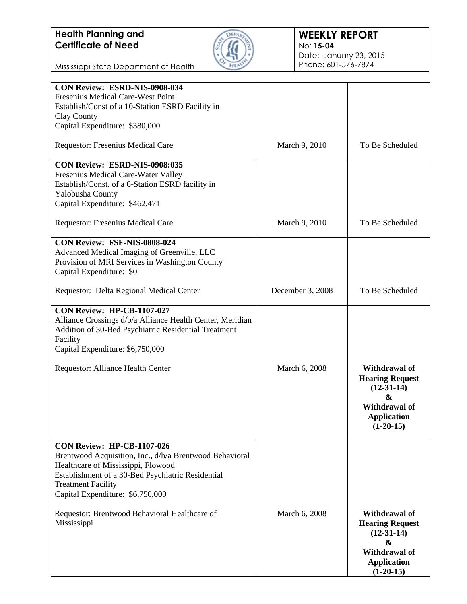

#### **WEEKLY REPORT** No: **15-04** Date: January 23, 2015 Phone: 601-576-7874

| <b>CON Review: ESRD-NIS-0908-034</b>                      |                  |                        |
|-----------------------------------------------------------|------------------|------------------------|
| Fresenius Medical Care-West Point                         |                  |                        |
| Establish/Const of a 10-Station ESRD Facility in          |                  |                        |
| Clay County                                               |                  |                        |
| Capital Expenditure: \$380,000                            |                  |                        |
|                                                           |                  |                        |
| Requestor: Fresenius Medical Care                         | March 9, 2010    | To Be Scheduled        |
| CON Review: ESRD-NIS-0908:035                             |                  |                        |
| Fresenius Medical Care-Water Valley                       |                  |                        |
|                                                           |                  |                        |
| Establish/Const. of a 6-Station ESRD facility in          |                  |                        |
| Yalobusha County                                          |                  |                        |
| Capital Expenditure: \$462,471                            |                  |                        |
| <b>Requestor: Fresenius Medical Care</b>                  | March 9, 2010    | To Be Scheduled        |
|                                                           |                  |                        |
| CON Review: FSF-NIS-0808-024                              |                  |                        |
| Advanced Medical Imaging of Greenville, LLC               |                  |                        |
| Provision of MRI Services in Washington County            |                  |                        |
| Capital Expenditure: \$0                                  |                  |                        |
|                                                           |                  |                        |
| Requestor: Delta Regional Medical Center                  | December 3, 2008 | To Be Scheduled        |
|                                                           |                  |                        |
| <b>CON Review: HP-CB-1107-027</b>                         |                  |                        |
|                                                           |                  |                        |
| Alliance Crossings d/b/a Alliance Health Center, Meridian |                  |                        |
| Addition of 30-Bed Psychiatric Residential Treatment      |                  |                        |
| Facility                                                  |                  |                        |
| Capital Expenditure: \$6,750,000                          |                  |                        |
|                                                           |                  |                        |
| Requestor: Alliance Health Center                         | March 6, 2008    | Withdrawal of          |
|                                                           |                  | <b>Hearing Request</b> |
|                                                           |                  |                        |
|                                                           |                  | $(12-31-14)$           |
|                                                           |                  | &                      |
|                                                           |                  | <b>Withdrawal of</b>   |
|                                                           |                  | <b>Application</b>     |
|                                                           |                  | $(1-20-15)$            |
|                                                           |                  |                        |
| <b>CON Review: HP-CB-1107-026</b>                         |                  |                        |
| Brentwood Acquisition, Inc., d/b/a Brentwood Behavioral   |                  |                        |
|                                                           |                  |                        |
| Healthcare of Mississippi, Flowood                        |                  |                        |
| Establishment of a 30-Bed Psychiatric Residential         |                  |                        |
| <b>Treatment Facility</b>                                 |                  |                        |
| Capital Expenditure: \$6,750,000                          |                  |                        |
|                                                           |                  |                        |
| Requestor: Brentwood Behavioral Healthcare of             | March 6, 2008    | Withdrawal of          |
|                                                           |                  |                        |
| Mississippi                                               |                  | <b>Hearing Request</b> |
|                                                           |                  | $(12-31-14)$           |
|                                                           |                  | &                      |
|                                                           |                  | Withdrawal of          |
|                                                           |                  | <b>Application</b>     |
|                                                           |                  | $(1-20-15)$            |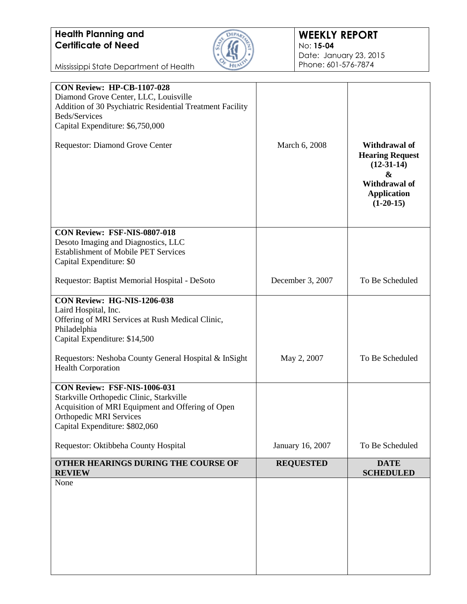

#### **WEEKLY REPORT** No: **15-04** Date: January 23, 2015 Phone: 601-576-7874

| Addition of 30 Psychiatric Residential Treatment Facility<br>Beds/Services<br>Capital Expenditure: \$6,750,000                                                                                           |                  |                                                                                                                                  |
|----------------------------------------------------------------------------------------------------------------------------------------------------------------------------------------------------------|------------------|----------------------------------------------------------------------------------------------------------------------------------|
| Requestor: Diamond Grove Center                                                                                                                                                                          | March 6, 2008    | <b>Withdrawal of</b><br><b>Hearing Request</b><br>$(12-31-14)$<br>&<br><b>Withdrawal of</b><br><b>Application</b><br>$(1-20-15)$ |
| CON Review: FSF-NIS-0807-018<br>Desoto Imaging and Diagnostics, LLC<br><b>Establishment of Mobile PET Services</b><br>Capital Expenditure: \$0                                                           |                  |                                                                                                                                  |
| Requestor: Baptist Memorial Hospital - DeSoto                                                                                                                                                            | December 3, 2007 | To Be Scheduled                                                                                                                  |
| CON Review: HG-NIS-1206-038<br>Laird Hospital, Inc.<br>Offering of MRI Services at Rush Medical Clinic,<br>Philadelphia<br>Capital Expenditure: \$14,500                                                 |                  |                                                                                                                                  |
| Requestors: Neshoba County General Hospital & InSight<br><b>Health Corporation</b>                                                                                                                       | May 2, 2007      | To Be Scheduled                                                                                                                  |
| <b>CON Review: FSF-NIS-1006-031</b><br>Starkville Orthopedic Clinic, Starkville<br>Acquisition of MRI Equipment and Offering of Open<br><b>Orthopedic MRI Services</b><br>Capital Expenditure: \$802,060 |                  |                                                                                                                                  |
| Requestor: Oktibbeha County Hospital                                                                                                                                                                     | January 16, 2007 | To Be Scheduled                                                                                                                  |
| OTHER HEARINGS DURING THE COURSE OF<br><b>REVIEW</b>                                                                                                                                                     | <b>REQUESTED</b> | <b>DATE</b><br><b>SCHEDULED</b>                                                                                                  |
| None                                                                                                                                                                                                     |                  |                                                                                                                                  |